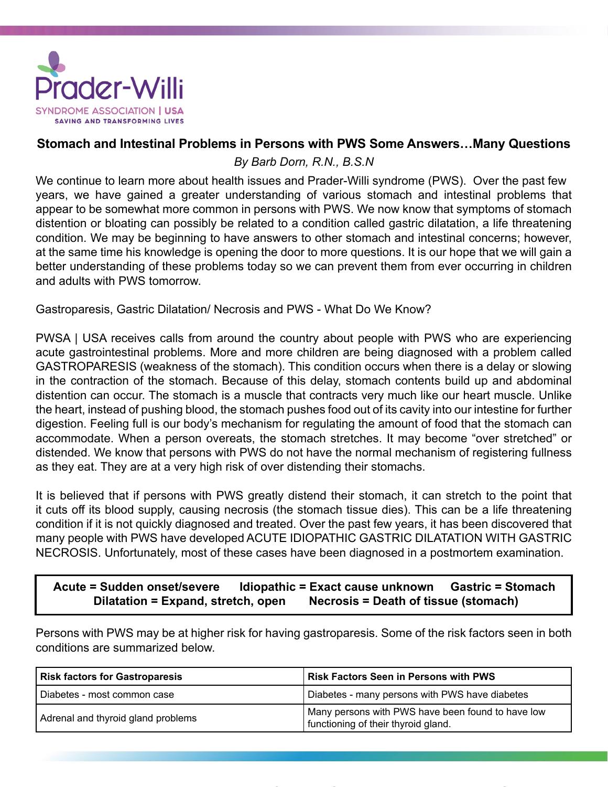

# **Stomach and Intestinal Problems in Persons with PWS Some Answers…Many Questions**

*By Barb Dorn, R.N., B.S.N*

We continue to learn more about health issues and Prader-Willi syndrome (PWS). Over the past few years, we have gained a greater understanding of various stomach and intestinal problems that appear to be somewhat more common in persons with PWS. We now know that symptoms of stomach distention or bloating can possibly be related to a condition called gastric dilatation, a life threatening condition. We may be beginning to have answers to other stomach and intestinal concerns; however, at the same time his knowledge is opening the door to more questions. It is our hope that we will gain a better understanding of these problems today so we can prevent them from ever occurring in children and adults with PWS tomorrow.

Gastroparesis, Gastric Dilatation/ Necrosis and PWS - What Do We Know?

PWSA | USA receives calls from around the country about people with PWS who are experiencing acute gastrointestinal problems. More and more children are being diagnosed with a problem called GASTROPARESIS (weakness of the stomach). This condition occurs when there is a delay or slowing in the contraction of the stomach. Because of this delay, stomach contents build up and abdominal distention can occur. The stomach is a muscle that contracts very much like our heart muscle. Unlike the heart, instead of pushing blood, the stomach pushes food out of its cavity into our intestine for further digestion. Feeling full is our body's mechanism for regulating the amount of food that the stomach can accommodate. When a person overeats, the stomach stretches. It may become "over stretched" or distended. We know that persons with PWS do not have the normal mechanism of registering fullness as they eat. They are at a very high risk of over distending their stomachs.

It is believed that if persons with PWS greatly distend their stomach, it can stretch to the point that it cuts off its blood supply, causing necrosis (the stomach tissue dies). This can be a life threatening condition if it is not quickly diagnosed and treated. Over the past few years, it has been discovered that many people with PWS have developed ACUTE IDIOPATHIC GASTRIC DILATATION WITH GASTRIC NECROSIS. Unfortunately, most of these cases have been diagnosed in a postmortem examination.

# **Acute = Sudden onset/severe Idiopathic = Exact cause unknown Gastric = Stomach Dilatation = Expand, stretch, open Necrosis = Death of tissue (stomach)**

Persons with PWS may be at higher risk for having gastroparesis. Some of the risk factors seen in both conditions are summarized below.

| <b>Risk factors for Gastroparesis</b> | <b>Risk Factors Seen in Persons with PWS</b>                                             |
|---------------------------------------|------------------------------------------------------------------------------------------|
| Diabetes - most common case           | Diabetes - many persons with PWS have diabetes                                           |
| Adrenal and thyroid gland problems    | Many persons with PWS have been found to have low<br>functioning of their thyroid gland. |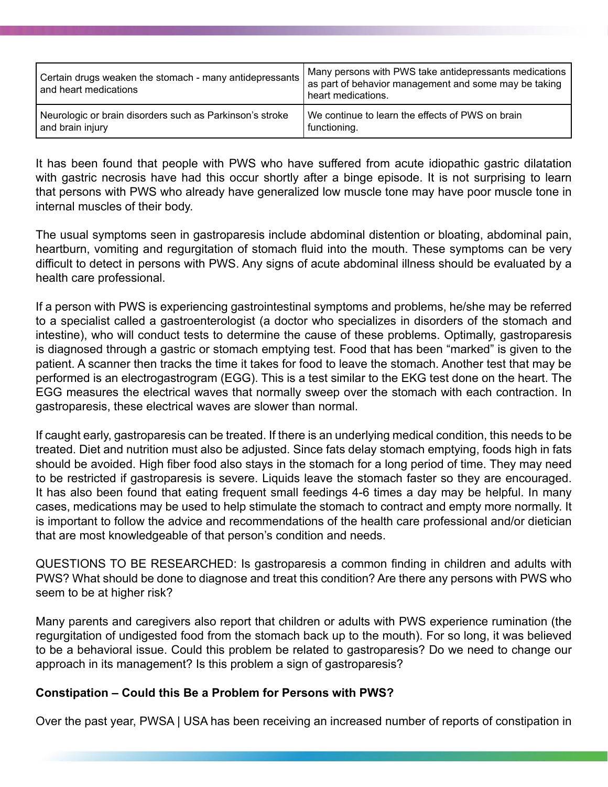| Certain drugs weaken the stomach - many antidepressants  <br>and heart medications | Many persons with PWS take antidepressants medications<br>as part of behavior management and some may be taking<br>heart medications. |
|------------------------------------------------------------------------------------|---------------------------------------------------------------------------------------------------------------------------------------|
| Neurologic or brain disorders such as Parkinson's stroke                           | We continue to learn the effects of PWS on brain                                                                                      |
| and brain injury                                                                   | functioning.                                                                                                                          |

It has been found that people with PWS who have suffered from acute idiopathic gastric dilatation with gastric necrosis have had this occur shortly after a binge episode. It is not surprising to learn that persons with PWS who already have generalized low muscle tone may have poor muscle tone in internal muscles of their body.

The usual symptoms seen in gastroparesis include abdominal distention or bloating, abdominal pain, heartburn, vomiting and regurgitation of stomach fluid into the mouth. These symptoms can be very difficult to detect in persons with PWS. Any signs of acute abdominal illness should be evaluated by a health care professional.

If a person with PWS is experiencing gastrointestinal symptoms and problems, he/she may be referred to a specialist called a gastroenterologist (a doctor who specializes in disorders of the stomach and intestine), who will conduct tests to determine the cause of these problems. Optimally, gastroparesis is diagnosed through a gastric or stomach emptying test. Food that has been "marked" is given to the patient. A scanner then tracks the time it takes for food to leave the stomach. Another test that may be performed is an electrogastrogram (EGG). This is a test similar to the EKG test done on the heart. The EGG measures the electrical waves that normally sweep over the stomach with each contraction. In gastroparesis, these electrical waves are slower than normal.

If caught early, gastroparesis can be treated. If there is an underlying medical condition, this needs to be treated. Diet and nutrition must also be adjusted. Since fats delay stomach emptying, foods high in fats should be avoided. High fiber food also stays in the stomach for a long period of time. They may need to be restricted if gastroparesis is severe. Liquids leave the stomach faster so they are encouraged. It has also been found that eating frequent small feedings 4-6 times a day may be helpful. In many cases, medications may be used to help stimulate the stomach to contract and empty more normally. It is important to follow the advice and recommendations of the health care professional and/or dietician that are most knowledgeable of that person's condition and needs.

QUESTIONS TO BE RESEARCHED: Is gastroparesis a common finding in children and adults with PWS? What should be done to diagnose and treat this condition? Are there any persons with PWS who seem to be at higher risk?

Many parents and caregivers also report that children or adults with PWS experience rumination (the regurgitation of undigested food from the stomach back up to the mouth). For so long, it was believed to be a behavioral issue. Could this problem be related to gastroparesis? Do we need to change our approach in its management? Is this problem a sign of gastroparesis?

## **Constipation – Could this Be a Problem for Persons with PWS?**

Over the past year, PWSA | USA has been receiving an increased number of reports of constipation in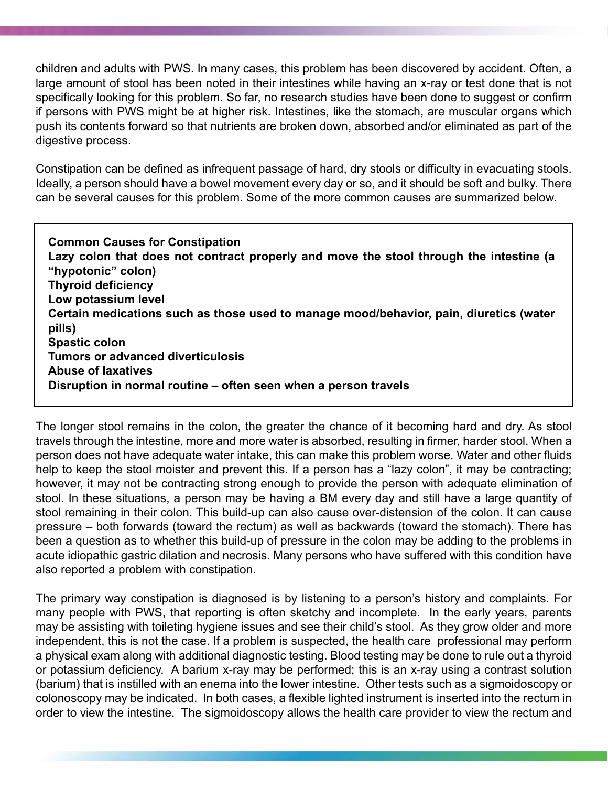children and adults with PWS. In many cases, this problem has been discovered by accident. Often, a large amount of stool has been noted in their intestines while having an x-ray or test done that is not specifically looking for this problem. So far, no research studies have been done to suggest or confirm if persons with PWS might be at higher risk. Intestines, like the stomach, are muscular organs which push its contents forward so that nutrients are broken down, absorbed and/or eliminated as part of the digestive process.

Constipation can be defined as infrequent passage of hard, dry stools or difficulty in evacuating stools. Ideally, a person should have a bowel movement every day or so, and it should be soft and bulky. There can be several causes for this problem. Some of the more common causes are summarized below.

**Common Causes for Constipation Lazy colon that does not contract properly and move the stool through the intestine (a "hypotonic" colon) Thyroid deficiency Low potassium level Certain medications such as those used to manage mood/behavior, pain, diuretics (water pills) Spastic colon Tumors or advanced diverticulosis Abuse of laxatives Disruption in normal routine – often seen when a person travels**

The longer stool remains in the colon, the greater the chance of it becoming hard and dry. As stool travels through the intestine, more and more water is absorbed, resulting in firmer, harder stool. When a person does not have adequate water intake, this can make this problem worse. Water and other fluids help to keep the stool moister and prevent this. If a person has a "lazy colon", it may be contracting; however, it may not be contracting strong enough to provide the person with adequate elimination of stool. In these situations, a person may be having a BM every day and still have a large quantity of stool remaining in their colon. This build-up can also cause over-distension of the colon. It can cause pressure – both forwards (toward the rectum) as well as backwards (toward the stomach). There has been a question as to whether this build-up of pressure in the colon may be adding to the problems in acute idiopathic gastric dilation and necrosis. Many persons who have suffered with this condition have also reported a problem with constipation.

The primary way constipation is diagnosed is by listening to a person's history and complaints. For many people with PWS, that reporting is often sketchy and incomplete. In the early years, parents may be assisting with toileting hygiene issues and see their child's stool. As they grow older and more independent, this is not the case. If a problem is suspected, the health care professional may perform a physical exam along with additional diagnostic testing. Blood testing may be done to rule out a thyroid or potassium deficiency. A barium x-ray may be performed; this is an x-ray using a contrast solution (barium) that is instilled with an enema into the lower intestine. Other tests such as a sigmoidoscopy or colonoscopy may be indicated. In both cases, a flexible lighted instrument is inserted into the rectum in order to view the intestine. The sigmoidoscopy allows the health care provider to view the rectum and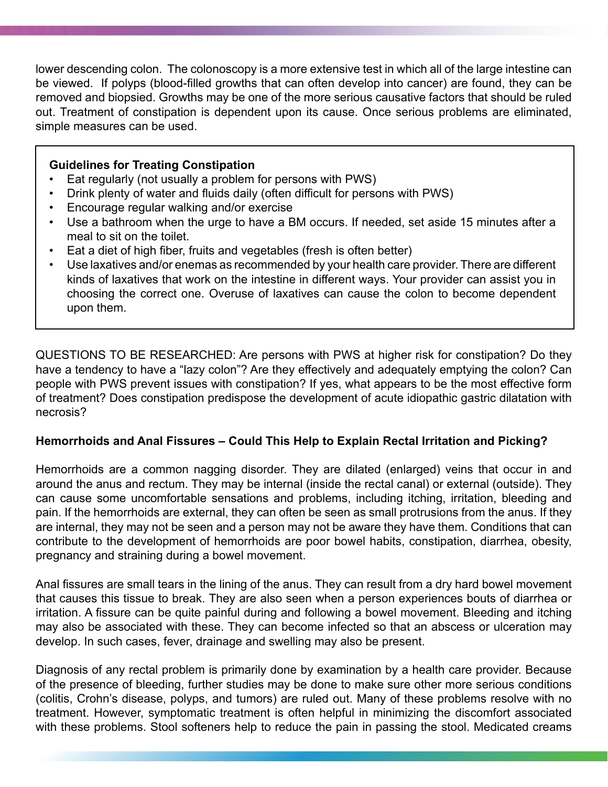lower descending colon. The colonoscopy is a more extensive test in which all of the large intestine can be viewed. If polyps (blood-filled growths that can often develop into cancer) are found, they can be removed and biopsied. Growths may be one of the more serious causative factors that should be ruled out. Treatment of constipation is dependent upon its cause. Once serious problems are eliminated, simple measures can be used.

### **Guidelines for Treating Constipation**

- Eat regularly (not usually a problem for persons with PWS)
- Drink plenty of water and fluids daily (often difficult for persons with PWS)
- Encourage regular walking and/or exercise
- Use a bathroom when the urge to have a BM occurs. If needed, set aside 15 minutes after a meal to sit on the toilet.
- Eat a diet of high fiber, fruits and vegetables (fresh is often better)
- Use laxatives and/or enemas as recommended by your health care provider. There are different kinds of laxatives that work on the intestine in different ways. Your provider can assist you in choosing the correct one. Overuse of laxatives can cause the colon to become dependent upon them.

QUESTIONS TO BE RESEARCHED: Are persons with PWS at higher risk for constipation? Do they have a tendency to have a "lazy colon"? Are they effectively and adequately emptying the colon? Can people with PWS prevent issues with constipation? If yes, what appears to be the most effective form of treatment? Does constipation predispose the development of acute idiopathic gastric dilatation with necrosis?

## **Hemorrhoids and Anal Fissures – Could This Help to Explain Rectal Irritation and Picking?**

Hemorrhoids are a common nagging disorder. They are dilated (enlarged) veins that occur in and around the anus and rectum. They may be internal (inside the rectal canal) or external (outside). They can cause some uncomfortable sensations and problems, including itching, irritation, bleeding and pain. If the hemorrhoids are external, they can often be seen as small protrusions from the anus. If they are internal, they may not be seen and a person may not be aware they have them. Conditions that can contribute to the development of hemorrhoids are poor bowel habits, constipation, diarrhea, obesity, pregnancy and straining during a bowel movement.

Anal fissures are small tears in the lining of the anus. They can result from a dry hard bowel movement that causes this tissue to break. They are also seen when a person experiences bouts of diarrhea or irritation. A fissure can be quite painful during and following a bowel movement. Bleeding and itching may also be associated with these. They can become infected so that an abscess or ulceration may develop. In such cases, fever, drainage and swelling may also be present.

Diagnosis of any rectal problem is primarily done by examination by a health care provider. Because of the presence of bleeding, further studies may be done to make sure other more serious conditions (colitis, Crohn's disease, polyps, and tumors) are ruled out. Many of these problems resolve with no treatment. However, symptomatic treatment is often helpful in minimizing the discomfort associated with these problems. Stool softeners help to reduce the pain in passing the stool. Medicated creams